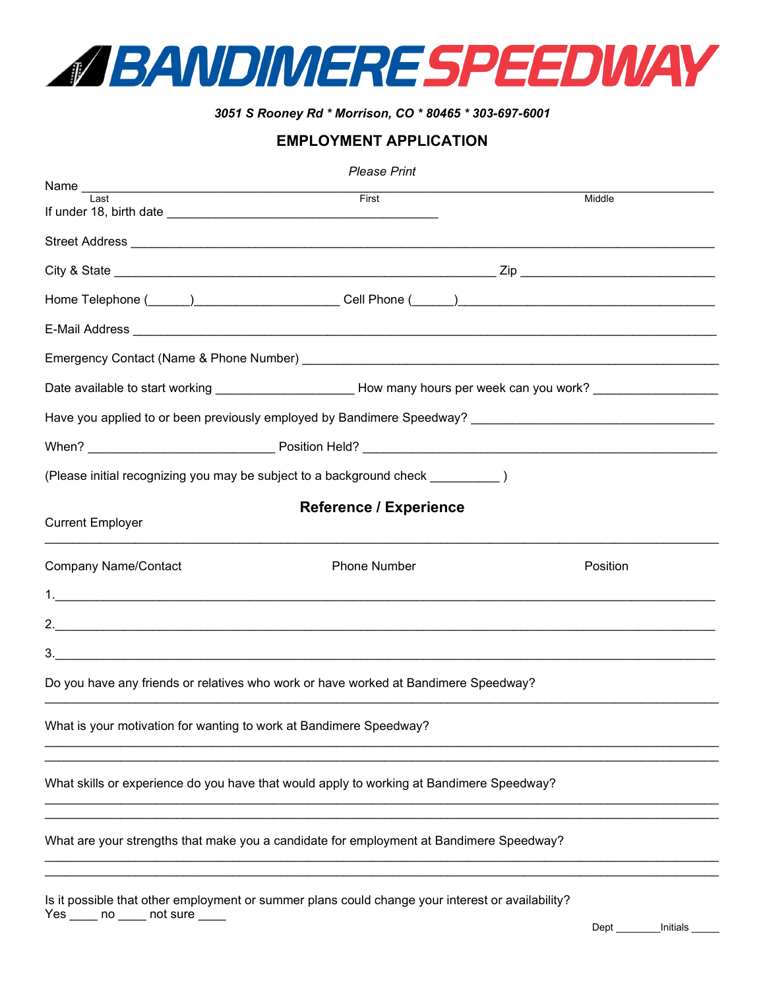

## *3051 S Rooney Rd \* Morrison, CO \* 80465 \* 303-697-6001*

## **EMPLOYMENT APPLICATION**

| <b>Please Print</b>                                                                                            |                     |                                                                                                                |  |  |  |
|----------------------------------------------------------------------------------------------------------------|---------------------|----------------------------------------------------------------------------------------------------------------|--|--|--|
| I ast                                                                                                          | First               | Middle                                                                                                         |  |  |  |
|                                                                                                                |                     |                                                                                                                |  |  |  |
|                                                                                                                |                     |                                                                                                                |  |  |  |
|                                                                                                                |                     |                                                                                                                |  |  |  |
|                                                                                                                |                     |                                                                                                                |  |  |  |
|                                                                                                                |                     |                                                                                                                |  |  |  |
| Emergency Contact (Name & Phone Number)                                                                        |                     |                                                                                                                |  |  |  |
|                                                                                                                |                     | Date available to start working ________________________How many hours per week can you work? ________________ |  |  |  |
| Have you applied to or been previously employed by Bandimere Speedway? [198] [198] [198] [198] [198] [198] [19 |                     |                                                                                                                |  |  |  |
|                                                                                                                |                     |                                                                                                                |  |  |  |
| (Please initial recognizing you may be subject to a background check [2001]                                    |                     |                                                                                                                |  |  |  |
| <b>Reference / Experience</b><br><b>Current Employer</b>                                                       |                     |                                                                                                                |  |  |  |
| <b>Company Name/Contact</b>                                                                                    | <b>Phone Number</b> | Position                                                                                                       |  |  |  |
| 1. $\overline{\phantom{a}}$                                                                                    |                     |                                                                                                                |  |  |  |
|                                                                                                                |                     |                                                                                                                |  |  |  |
|                                                                                                                |                     |                                                                                                                |  |  |  |
| Do you have any friends or relatives who work or have worked at Bandimere Speedway?                            |                     |                                                                                                                |  |  |  |
| What is your motivation for wanting to work at Bandimere Speedway?                                             |                     |                                                                                                                |  |  |  |
| What skills or experience do you have that would apply to working at Bandimere Speedway?                       |                     |                                                                                                                |  |  |  |
| What are your strengths that make you a candidate for employment at Bandimere Speedway?                        |                     |                                                                                                                |  |  |  |
| Is it possible that other employment or summer plans could change your interest or availability?               |                     |                                                                                                                |  |  |  |

Yes \_\_\_\_\_ no \_\_\_\_\_ not sure \_\_\_\_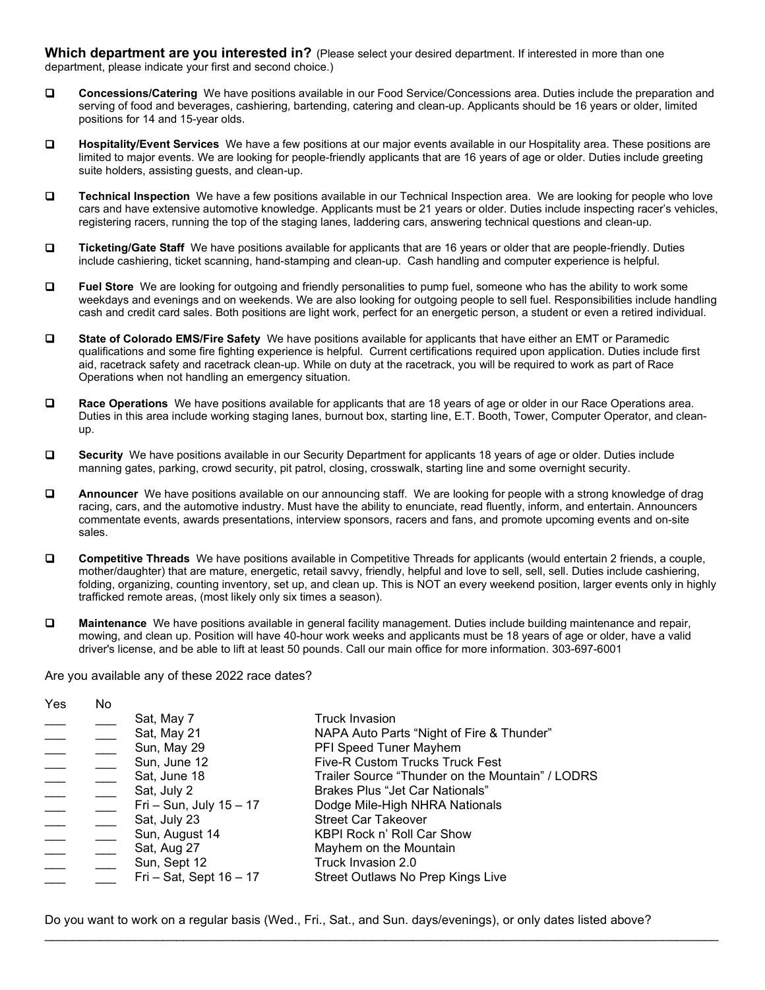**Which department are you interested in?** (Please select your desired department. If interested in more than one department, please indicate your first and second choice.)

- **Concessions/Catering** We have positions available in our Food Service/Concessions area. Duties include the preparation and serving of food and beverages, cashiering, bartending, catering and clean-up. Applicants should be 16 years or older, limited positions for 14 and 15-year olds.
- **Hospitality/Event Services** We have a few positions at our major events available in our Hospitality area. These positions are limited to major events. We are looking for people-friendly applicants that are 16 years of age or older. Duties include greeting suite holders, assisting guests, and clean-up.
- **Technical Inspection** We have a few positions available in our Technical Inspection area. We are looking for people who love cars and have extensive automotive knowledge. Applicants must be 21 years or older. Duties include inspecting racer's vehicles, registering racers, running the top of the staging lanes, laddering cars, answering technical questions and clean-up.
- **Ticketing/Gate Staff** We have positions available for applicants that are 16 years or older that are people-friendly. Duties include cashiering, ticket scanning, hand-stamping and clean-up. Cash handling and computer experience is helpful.
- **Fuel Store** We are looking for outgoing and friendly personalities to pump fuel, someone who has the ability to work some weekdays and evenings and on weekends. We are also looking for outgoing people to sell fuel. Responsibilities include handling cash and credit card sales. Both positions are light work, perfect for an energetic person, a student or even a retired individual.
- **State of Colorado EMS/Fire Safety** We have positions available for applicants that have either an EMT or Paramedic qualifications and some fire fighting experience is helpful. Current certifications required upon application. Duties include first aid, racetrack safety and racetrack clean-up. While on duty at the racetrack, you will be required to work as part of Race Operations when not handling an emergency situation.
- **Race Operations** We have positions available for applicants that are 18 years of age or older in our Race Operations area. Duties in this area include working staging lanes, burnout box, starting line, E.T. Booth, Tower, Computer Operator, and cleanup.
- **Security** We have positions available in our Security Department for applicants 18 years of age or older. Duties include manning gates, parking, crowd security, pit patrol, closing, crosswalk, starting line and some overnight security.
- **Announcer** We have positions available on our announcing staff. We are looking for people with a strong knowledge of drag racing, cars, and the automotive industry. Must have the ability to enunciate, read fluently, inform, and entertain. Announcers commentate events, awards presentations, interview sponsors, racers and fans, and promote upcoming events and on-site sales.
- **Competitive Threads** We have positions available in Competitive Threads for applicants (would entertain 2 friends, a couple, mother/daughter) that are mature, energetic, retail savvy, friendly, helpful and love to sell, sell, sell. Duties include cashiering, folding, organizing, counting inventory, set up, and clean up. This is NOT an every weekend position, larger events only in highly trafficked remote areas, (most likely only six times a season).
- **Maintenance** We have positions available in general facility management. Duties include building maintenance and repair, mowing, and clean up. Position will have 40-hour work weeks and applicants must be 18 years of age or older, have a valid driver's license, and be able to lift at least 50 pounds. Call our main office for more information. 303-697-6001

Are you available any of these 2022 race dates?

| Yes | No |                              |                                                  |
|-----|----|------------------------------|--------------------------------------------------|
|     |    | Sat, May 7                   | <b>Truck Invasion</b>                            |
|     |    | Sat, May 21                  | NAPA Auto Parts "Night of Fire & Thunder"        |
|     |    | Sun, May 29                  | PFI Speed Tuner Mayhem                           |
|     |    | Sun, June 12                 | Five-R Custom Trucks Truck Fest                  |
|     |    | Sat, June 18                 | Trailer Source "Thunder on the Mountain" / LODRS |
|     |    | Sat, July 2                  | Brakes Plus "Jet Car Nationals"                  |
|     |    | Fri - Sun, July 15 - 17      | Dodge Mile-High NHRA Nationals                   |
|     |    | Sat, July 23                 | <b>Street Car Takeover</b>                       |
|     |    | Sun, August 14               | KBPI Rock n' Roll Car Show                       |
|     |    | Sat, Aug 27                  | Mayhem on the Mountain                           |
|     |    | Sun, Sept 12                 | Truck Invasion 2.0                               |
|     |    | $Tri - Sat$ , Sept $16 - 17$ | Street Outlaws No Prep Kings Live                |
|     |    |                              |                                                  |

Do you want to work on a regular basis (Wed., Fri., Sat., and Sun. days/evenings), or only dates listed above?

\_\_\_\_\_\_\_\_\_\_\_\_\_\_\_\_\_\_\_\_\_\_\_\_\_\_\_\_\_\_\_\_\_\_\_\_\_\_\_\_\_\_\_\_\_\_\_\_\_\_\_\_\_\_\_\_\_\_\_\_\_\_\_\_\_\_\_\_\_\_\_\_\_\_\_\_\_\_\_\_\_\_\_\_\_\_\_\_\_\_\_\_\_\_\_\_\_